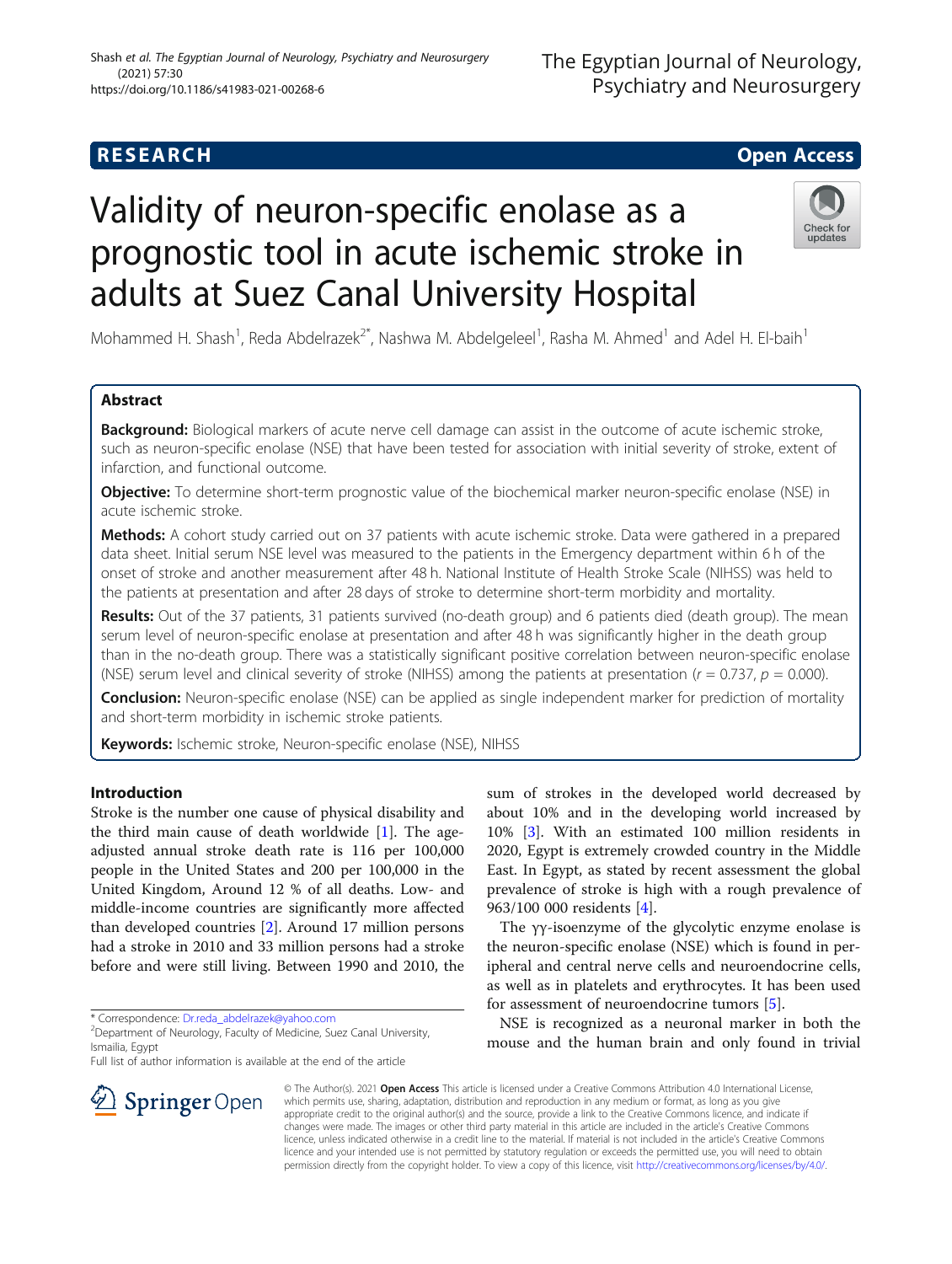# **RESEARCH CHE Open Access**

# Validity of neuron-specific enolase as a prognostic tool in acute ischemic stroke in adults at Suez Canal University Hospital



Mohammed H. Shash<sup>1</sup>, Reda Abdelrazek<sup>2\*</sup>, Nashwa M. Abdelgeleel<sup>1</sup>, Rasha M. Ahmed<sup>1</sup> and Adel H. El-baih<sup>1</sup>

# Abstract

Background: Biological markers of acute nerve cell damage can assist in the outcome of acute ischemic stroke, such as neuron-specific enolase (NSE) that have been tested for association with initial severity of stroke, extent of infarction, and functional outcome.

**Objective:** To determine short-term prognostic value of the biochemical marker neuron-specific enolase (NSE) in acute ischemic stroke.

Methods: A cohort study carried out on 37 patients with acute ischemic stroke. Data were gathered in a prepared data sheet. Initial serum NSE level was measured to the patients in the Emergency department within 6 h of the onset of stroke and another measurement after 48 h. National Institute of Health Stroke Scale (NIHSS) was held to the patients at presentation and after 28 days of stroke to determine short-term morbidity and mortality.

Results: Out of the 37 patients, 31 patients survived (no-death group) and 6 patients died (death group). The mean serum level of neuron-specific enolase at presentation and after 48 h was significantly higher in the death group than in the no-death group. There was a statistically significant positive correlation between neuron-specific enolase (NSE) serum level and clinical severity of stroke (NIHSS) among the patients at presentation  $(r = 0.737, p = 0.000)$ .

Conclusion: Neuron-specific enolase (NSE) can be applied as single independent marker for prediction of mortality and short-term morbidity in ischemic stroke patients.

Keywords: Ischemic stroke, Neuron-specific enolase (NSE), NIHSS

# Introduction

Stroke is the number one cause of physical disability and the third main cause of death worldwide [\[1](#page-6-0)]. The ageadjusted annual stroke death rate is 116 per 100,000 people in the United States and 200 per 100,000 in the United Kingdom, Around 12 % of all deaths. Low- and middle-income countries are significantly more affected than developed countries [\[2](#page-6-0)]. Around 17 million persons had a stroke in 2010 and 33 million persons had a stroke before and were still living. Between 1990 and 2010, the

\* Correspondence: [Dr.reda\\_abdelrazek@yahoo.com](mailto:Dr.reda_abdelrazek@yahoo.com) <sup>2</sup>

Full list of author information is available at the end of the article

sum of strokes in the developed world decreased by about 10% and in the developing world increased by 10% [\[3](#page-6-0)]. With an estimated 100 million residents in 2020, Egypt is extremely crowded country in the Middle East. In Egypt, as stated by recent assessment the global prevalence of stroke is high with a rough prevalence of 963/100 000 residents [[4\]](#page-6-0).

The γγ-isoenzyme of the glycolytic enzyme enolase is the neuron-specific enolase (NSE) which is found in peripheral and central nerve cells and neuroendocrine cells, as well as in platelets and erythrocytes. It has been used for assessment of neuroendocrine tumors [\[5](#page-6-0)].

NSE is recognized as a neuronal marker in both the mouse and the human brain and only found in trivial



© The Author(s). 2021 Open Access This article is licensed under a Creative Commons Attribution 4.0 International License, which permits use, sharing, adaptation, distribution and reproduction in any medium or format, as long as you give appropriate credit to the original author(s) and the source, provide a link to the Creative Commons licence, and indicate if changes were made. The images or other third party material in this article are included in the article's Creative Commons licence, unless indicated otherwise in a credit line to the material. If material is not included in the article's Creative Commons licence and your intended use is not permitted by statutory regulation or exceeds the permitted use, you will need to obtain permission directly from the copyright holder. To view a copy of this licence, visit <http://creativecommons.org/licenses/by/4.0/>.

<sup>&</sup>lt;sup>2</sup> Department of Neurology, Faculty of Medicine, Suez Canal University, Ismailia, Egypt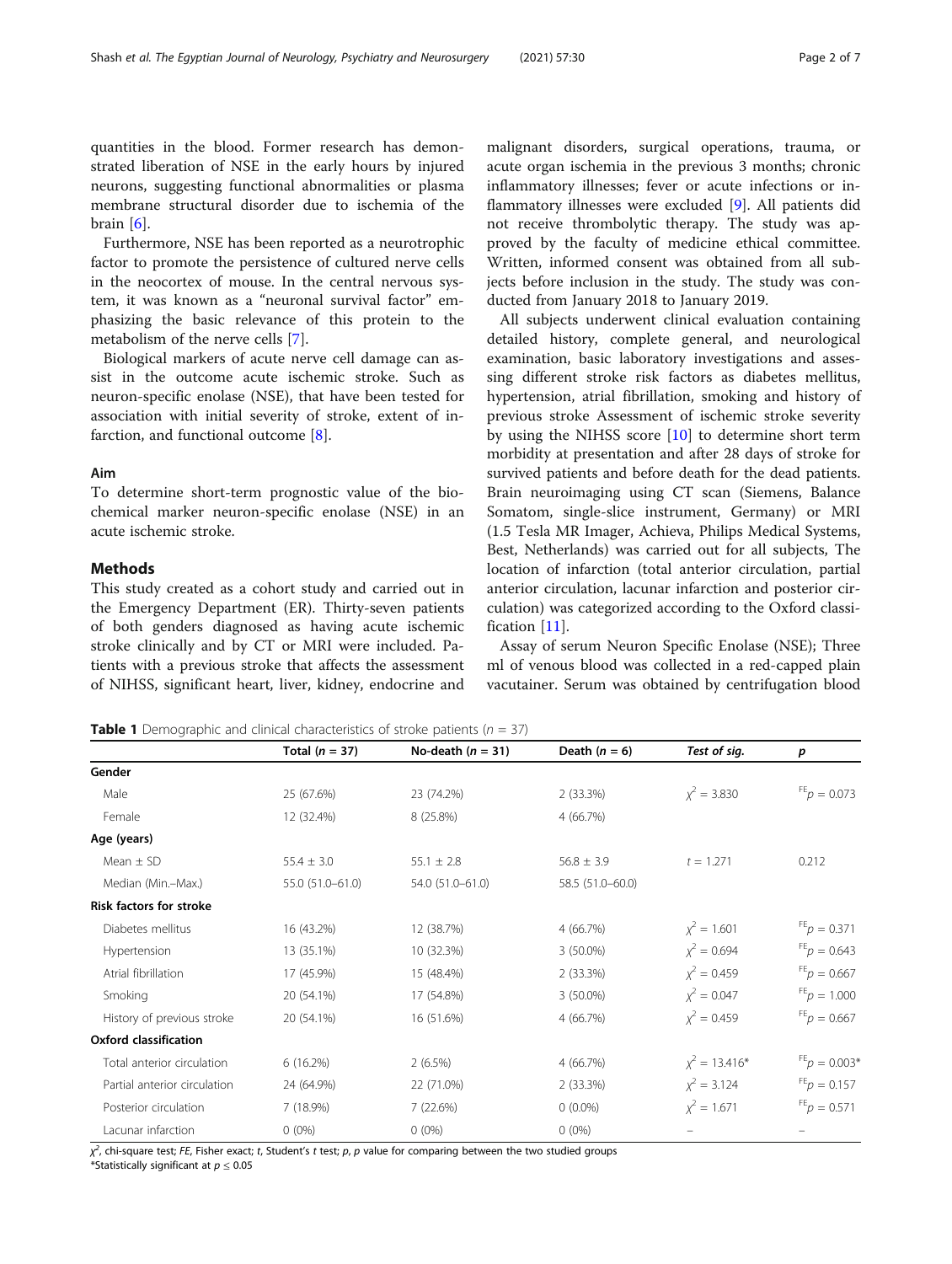<span id="page-1-0"></span>quantities in the blood. Former research has demonstrated liberation of NSE in the early hours by injured neurons, suggesting functional abnormalities or plasma membrane structural disorder due to ischemia of the brain [[6\]](#page-6-0).

Furthermore, NSE has been reported as a neurotrophic factor to promote the persistence of cultured nerve cells in the neocortex of mouse. In the central nervous system, it was known as a "neuronal survival factor" emphasizing the basic relevance of this protein to the metabolism of the nerve cells [[7\]](#page-6-0).

Biological markers of acute nerve cell damage can assist in the outcome acute ischemic stroke. Such as neuron-specific enolase (NSE), that have been tested for association with initial severity of stroke, extent of infarction, and functional outcome [\[8](#page-6-0)].

#### Aim

To determine short-term prognostic value of the biochemical marker neuron-specific enolase (NSE) in an acute ischemic stroke.

#### Methods

This study created as a cohort study and carried out in the Emergency Department (ER). Thirty-seven patients of both genders diagnosed as having acute ischemic stroke clinically and by CT or MRI were included. Patients with a previous stroke that affects the assessment of NIHSS, significant heart, liver, kidney, endocrine and malignant disorders, surgical operations, trauma, or acute organ ischemia in the previous 3 months; chronic inflammatory illnesses; fever or acute infections or inflammatory illnesses were excluded [\[9](#page-6-0)]. All patients did not receive thrombolytic therapy. The study was approved by the faculty of medicine ethical committee. Written, informed consent was obtained from all subjects before inclusion in the study. The study was conducted from January 2018 to January 2019.

All subjects underwent clinical evaluation containing detailed history, complete general, and neurological examination, basic laboratory investigations and assessing different stroke risk factors as diabetes mellitus, hypertension, atrial fibrillation, smoking and history of previous stroke Assessment of ischemic stroke severity by using the NIHSS score [\[10](#page-6-0)] to determine short term morbidity at presentation and after 28 days of stroke for survived patients and before death for the dead patients. Brain neuroimaging using CT scan (Siemens, Balance Somatom, single-slice instrument, Germany) or MRI (1.5 Tesla MR Imager, Achieva, Philips Medical Systems, Best, Netherlands) was carried out for all subjects, The location of infarction (total anterior circulation, partial anterior circulation, lacunar infarction and posterior circulation) was categorized according to the Oxford classification [\[11](#page-6-0)].

Assay of serum Neuron Specific Enolase (NSE); Three ml of venous blood was collected in a red-capped plain vacutainer. Serum was obtained by centrifugation blood

**Table 1** Demographic and clinical characteristics of stroke patients ( $n = 37$ )

|                                | Total $(n = 37)$ | No-death $(n = 31)$ | Death $(n = 6)$  | Test of sig.     | p                                |
|--------------------------------|------------------|---------------------|------------------|------------------|----------------------------------|
| Gender                         |                  |                     |                  |                  |                                  |
| Male                           | 25 (67.6%)       | 23 (74.2%)          | $2(33.3\%)$      | $x^2 = 3.830$    | $FE$ $p = 0.073$                 |
| Female                         | 12 (32.4%)       | 8 (25.8%)           | 4 (66.7%)        |                  |                                  |
| Age (years)                    |                  |                     |                  |                  |                                  |
| Mean $\pm$ SD                  | $55.4 \pm 3.0$   | $55.1 \pm 2.8$      | $56.8 \pm 3.9$   | $t = 1.271$      | 0.212                            |
| Median (Min.-Max.)             | 55.0 (51.0-61.0) | 54.0 (51.0-61.0)    | 58.5 (51.0-60.0) |                  |                                  |
| <b>Risk factors for stroke</b> |                  |                     |                  |                  |                                  |
| Diabetes mellitus              | 16 (43.2%)       | 12 (38.7%)          | 4 (66.7%)        | $\chi^2 = 1.601$ | $FE_p = 0.371$                   |
| Hypertension                   | 13 (35.1%)       | 10 (32.3%)          | $3(50.0\%)$      | $\chi^2 = 0.694$ | $F_{p} = 0.643$                  |
| Atrial fibrillation            | 17 (45.9%)       | 15 (48.4%)          | $2(33.3\%)$      | $x^2 = 0.459$    | $FE_p = 0.667$                   |
| Smoking                        | 20 (54.1%)       | 17 (54.8%)          | $3(50.0\%)$      | $\chi^2 = 0.047$ | $FE$ <sub>D</sub> = 1.000        |
| History of previous stroke     | 20 (54.1%)       | 16 (51.6%)          | 4 (66.7%)        | $x^2 = 0.459$    | $FE$ <sub><i>p</i></sub> = 0.667 |
| <b>Oxford classification</b>   |                  |                     |                  |                  |                                  |
| Total anterior circulation     | 6(16.2%)         | $2(6.5\%)$          | 4 (66.7%)        | $x^2 = 13.416*$  | $F_{p} = 0.003$ <sup>*</sup>     |
| Partial anterior circulation   | 24 (64.9%)       | 22 (71.0%)          | 2 (33.3%)        | $x^2 = 3.124$    | $F_{p} = 0.157$                  |
| Posterior circulation          | 7 (18.9%)        | 7 (22.6%)           | $0(0.0\%)$       | $\chi^2 = 1.671$ | $FE_p = 0.571$                   |
| Lacunar infarction             | $0(0\%)$         | $0(0\%)$            | $0(0\%)$         |                  |                                  |

 $\chi^2$ , chi-square test; FE, Fisher exact; t, Student's t test; p, p value for comparing between the two studied groups

\*Statistically significant at  $p \leq 0.05$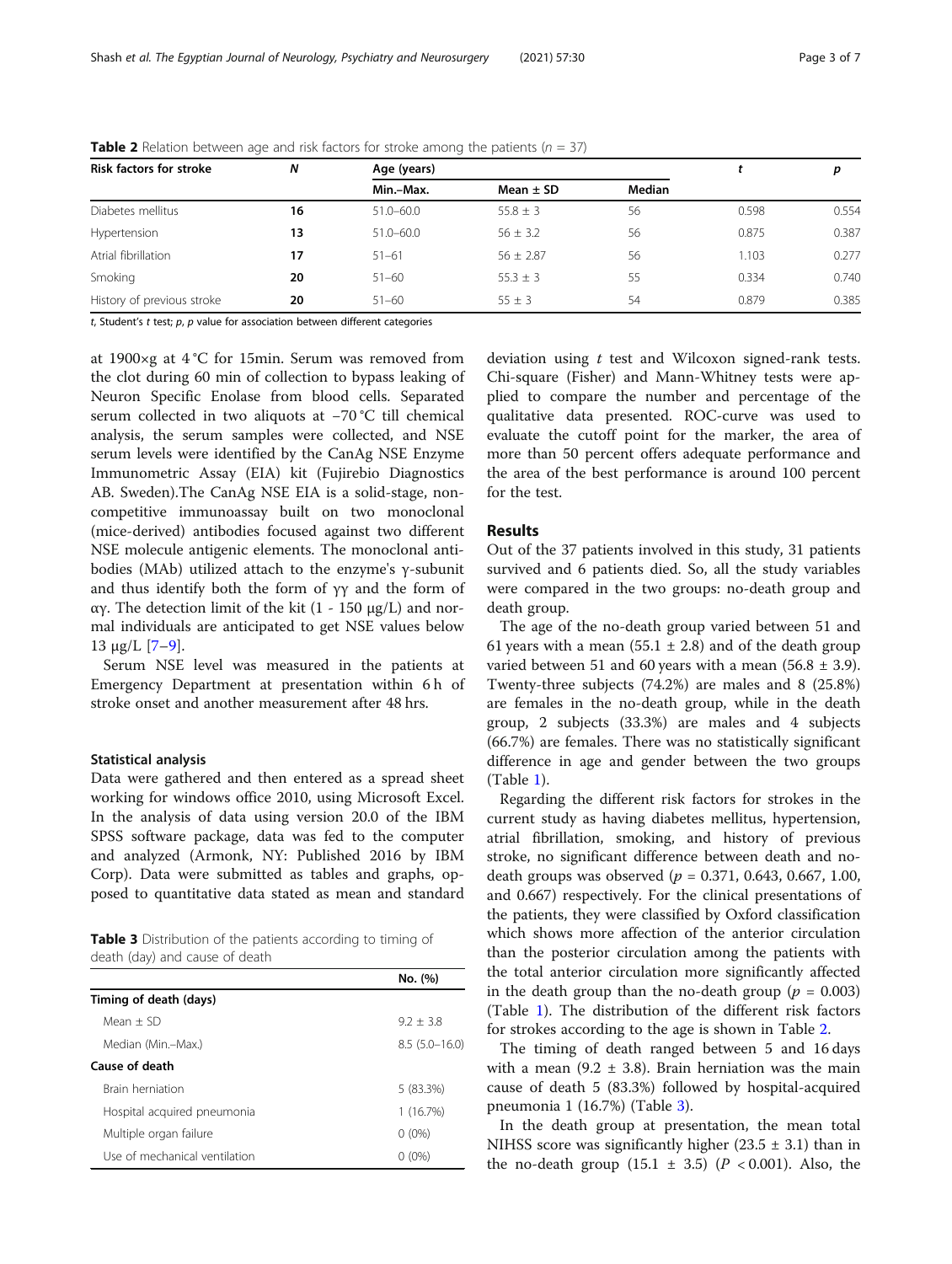| <b>Risk factors for stroke</b> | N  | Age (years)   |               | р      |       |       |
|--------------------------------|----|---------------|---------------|--------|-------|-------|
|                                |    | Min.-Max.     | Mean $\pm$ SD | Median |       |       |
| Diabetes mellitus              | 16 | $51.0 - 60.0$ | $55.8 \pm 3$  | 56     | 0.598 | 0.554 |
| Hypertension                   | 13 | $51.0 - 60.0$ | $56 \pm 3.2$  | 56     | 0.875 | 0.387 |
| Atrial fibrillation            | 17 | $51 - 61$     | $56 \pm 2.87$ | 56     | 1.103 | 0.277 |
| Smoking                        | 20 | $51 - 60$     | $55.3 \pm 3$  | 55     | 0.334 | 0.740 |
| History of previous stroke     | 20 | $51 - 60$     | $55 \pm 3$    | 54     | 0.879 | 0.385 |

**Table 2** Relation between age and risk factors for stroke among the patients ( $n = 37$ )

t, Student's t test;  $p$ ,  $p$  value for association between different categories

at 1900×g at 4 °C for 15min. Serum was removed from the clot during 60 min of collection to bypass leaking of Neuron Specific Enolase from blood cells. Separated serum collected in two aliquots at −70 °C till chemical analysis, the serum samples were collected, and NSE serum levels were identified by the CanAg NSE Enzyme Immunometric Assay (EIA) kit (Fujirebio Diagnostics AB. Sweden).The CanAg NSE EIA is a solid-stage, noncompetitive immunoassay built on two monoclonal (mice-derived) antibodies focused against two different NSE molecule antigenic elements. The monoclonal antibodies (MAb) utilized attach to the enzyme's γ-subunit and thus identify both the form of  $\gamma\gamma$  and the form of αγ. The detection limit of the kit (1 - 150 μg/L) and normal individuals are anticipated to get NSE values below 13 μg/L  $[7-9]$  $[7-9]$  $[7-9]$  $[7-9]$  $[7-9]$ .

Serum NSE level was measured in the patients at Emergency Department at presentation within 6 h of stroke onset and another measurement after 48 hrs.

#### Statistical analysis

Data were gathered and then entered as a spread sheet working for windows office 2010, using Microsoft Excel. In the analysis of data using version 20.0 of the IBM SPSS software package, data was fed to the computer and analyzed (Armonk, NY: Published 2016 by IBM Corp). Data were submitted as tables and graphs, opposed to quantitative data stated as mean and standard

Table 3 Distribution of the patients according to timing of death (day) and cause of death

|                               | No. (%)         |
|-------------------------------|-----------------|
| Timing of death (days)        |                 |
| $Mean + SD$                   | $9.2 + 3.8$     |
| Median (Min.–Max.)            | $8.5(5.0-16.0)$ |
| Cause of death                |                 |
| <b>Brain herniation</b>       | 5 (83.3%)       |
| Hospital acquired pneumonia   | 1(16.7%)        |
| Multiple organ failure        | $0(0\%)$        |
| Use of mechanical ventilation | $(0\%)$         |

deviation using t test and Wilcoxon signed-rank tests. Chi-square (Fisher) and Mann-Whitney tests were applied to compare the number and percentage of the qualitative data presented. ROC-curve was used to evaluate the cutoff point for the marker, the area of more than 50 percent offers adequate performance and the area of the best performance is around 100 percent for the test.

#### Results

Out of the 37 patients involved in this study, 31 patients survived and 6 patients died. So, all the study variables were compared in the two groups: no-death group and death group.

The age of the no-death group varied between 51 and 61 years with a mean (55.1  $\pm$  2.8) and of the death group varied between 51 and 60 years with a mean  $(56.8 \pm 3.9)$ . Twenty-three subjects (74.2%) are males and 8 (25.8%) are females in the no-death group, while in the death group, 2 subjects (33.3%) are males and 4 subjects (66.7%) are females. There was no statistically significant difference in age and gender between the two groups (Table [1\)](#page-1-0).

Regarding the different risk factors for strokes in the current study as having diabetes mellitus, hypertension, atrial fibrillation, smoking, and history of previous stroke, no significant difference between death and nodeath groups was observed ( $p = 0.371, 0.643, 0.667, 1.00$ ) and 0.667) respectively. For the clinical presentations of the patients, they were classified by Oxford classification which shows more affection of the anterior circulation than the posterior circulation among the patients with the total anterior circulation more significantly affected in the death group than the no-death group ( $p = 0.003$ ) (Table [1](#page-1-0)). The distribution of the different risk factors for strokes according to the age is shown in Table 2.

The timing of death ranged between 5 and 16 days with a mean (9.2  $\pm$  3.8). Brain herniation was the main cause of death 5 (83.3%) followed by hospital-acquired pneumonia 1 (16.7%) (Table 3).

In the death group at presentation, the mean total NIHSS score was significantly higher  $(23.5 \pm 3.1)$  than in the no-death group  $(15.1 \pm 3.5)$   $(P < 0.001)$ . Also, the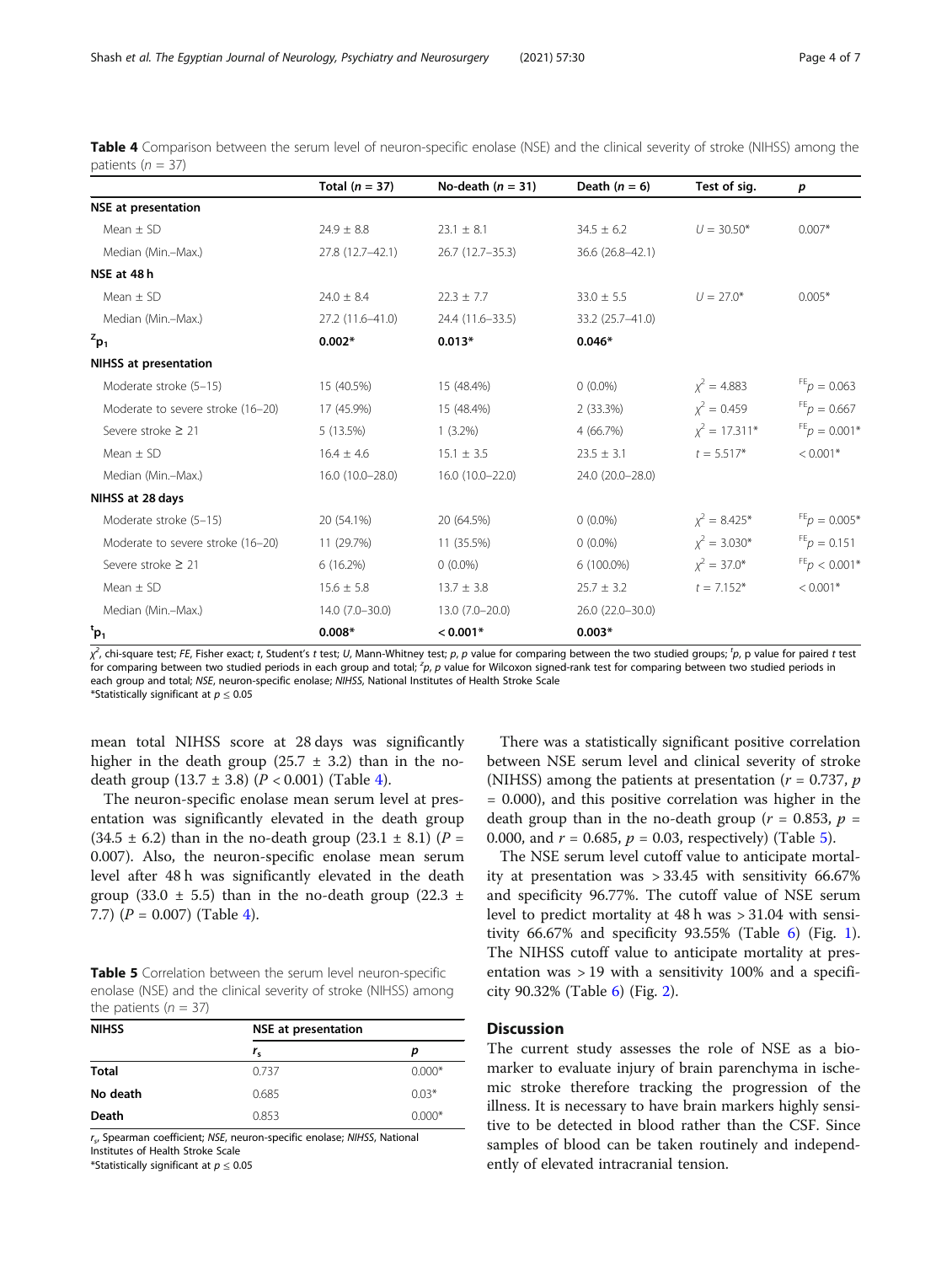| Table 4 Comparison between the serum level of neuron-specific enolase (NSE) and the clinical severity of stroke (NIHSS) among the |  |  |  |  |  |  |  |
|-----------------------------------------------------------------------------------------------------------------------------------|--|--|--|--|--|--|--|
| patients ( $n = 37$ )                                                                                                             |  |  |  |  |  |  |  |

|                                   | Total $(n = 37)$ | No-death $(n = 31)$ | Death $(n = 6)$  | Test of sig.       | p                                |
|-----------------------------------|------------------|---------------------|------------------|--------------------|----------------------------------|
| <b>NSE</b> at presentation        |                  |                     |                  |                    |                                  |
| Mean $\pm$ SD                     | $24.9 \pm 8.8$   | $23.1 \pm 8.1$      | $34.5 \pm 6.2$   | $U = 30.50*$       | $0.007*$                         |
| Median (Min.-Max.)                | 27.8 (12.7-42.1) | 26.7 (12.7-35.3)    | 36.6 (26.8-42.1) |                    |                                  |
| NSE at 48 h                       |                  |                     |                  |                    |                                  |
| Mean $\pm$ SD                     | $24.0 \pm 8.4$   | $22.3 \pm 7.7$      | $33.0 \pm 5.5$   | $U = 27.0*$        | $0.005*$                         |
| Median (Min.-Max.)                | 27.2 (11.6-41.0) | 24.4 (11.6-33.5)    | 33.2 (25.7-41.0) |                    |                                  |
| $z_{p_1}$                         | $0.002*$         | $0.013*$            | $0.046*$         |                    |                                  |
| <b>NIHSS at presentation</b>      |                  |                     |                  |                    |                                  |
| Moderate stroke (5-15)            | 15 (40.5%)       | 15 (48.4%)          | $0(0.0\%)$       | $x^2 = 4.883$      | $FE$ <sub><i>p</i></sub> = 0.063 |
| Moderate to severe stroke (16-20) | 17 (45.9%)       | 15 (48.4%)          | 2 (33.3%)        | $x^2 = 0.459$      | $FE_p = 0.667$                   |
| Severe stroke ≥ 21                | 5 (13.5%)        | $1(3.2\%)$          | 4 (66.7%)        | $x^2 = 17.311*$    | $FE$ $p = 0.001*$                |
| Mean $\pm$ SD                     | $16.4 \pm 4.6$   | $15.1 \pm 3.5$      | $23.5 \pm 3.1$   | $t = 5.517*$       | $< 0.001*$                       |
| Median (Min.-Max.)                | 16.0 (10.0-28.0) | 16.0 (10.0-22.0)    | 24.0 (20.0-28.0) |                    |                                  |
| NIHSS at 28 days                  |                  |                     |                  |                    |                                  |
| Moderate stroke (5-15)            | 20 (54.1%)       | 20 (64.5%)          | $0(0.0\%)$       | $x^2 = 8.425^*$    | $F_{p} = 0.005*$                 |
| Moderate to severe stroke (16-20) | 11 (29.7%)       | 11 (35.5%)          | $0(0.0\%)$       | $\chi^2 = 3.030^*$ | $FE_p = 0.151$                   |
| Severe stroke $\geq$ 21           | 6(16.2%)         | $0(0.0\%)$          | 6 (100.0%)       | $x^2 = 37.0^*$     | $FE_{p}$ < 0.001*                |
| Mean $\pm$ SD                     | $15.6 \pm 5.8$   | $13.7 \pm 3.8$      | $25.7 \pm 3.2$   | $t = 7.152*$       | $< 0.001*$                       |
| Median (Min.-Max.)                | 14.0 (7.0-30.0)  | 13.0 (7.0-20.0)     | 26.0 (22.0-30.0) |                    |                                  |
| ${}^{\rm t}$ p <sub>1</sub>       | $0.008*$         | $< 0.001*$          | $0.003*$         |                    |                                  |

 $\chi^2$ , chi-square test; FE, Fisher exact; t, Student's t test; U, Mann-Whitney test; p, p value for comparing between the two studied groups; <sup>t</sup>p, p value for paired t test for comparing between two studied periods in each group and total; <sup>z</sup>p, p value for Wilcoxon signed-rank test for comparing between two studied periods in each group and total; NSE, neuron-specific enolase; NIHSS, National Institutes of Health Stroke Scale

\*Statistically significant at  $p \leq 0.05$ 

mean total NIHSS score at 28 days was significantly higher in the death group (25.7  $\pm$  3.2) than in the nodeath group  $(13.7 \pm 3.8)$   $(P < 0.001)$  (Table 4).

The neuron-specific enolase mean serum level at presentation was significantly elevated in the death group  $(34.5 \pm 6.2)$  than in the no-death group  $(23.1 \pm 8.1)$  (P = 0.007). Also, the neuron-specific enolase mean serum level after 48 h was significantly elevated in the death group (33.0  $\pm$  5.5) than in the no-death group (22.3  $\pm$ 7.7)  $(P = 0.007)$  (Table 4).

|                         | <b>Table 5</b> Correlation between the serum level neuron-specific |
|-------------------------|--------------------------------------------------------------------|
|                         | enolase (NSE) and the clinical severity of stroke (NIHSS) among    |
| the patients $(n = 37)$ |                                                                    |

| <b>NIHSS</b> | <b>NSE</b> at presentation |          |  |  |  |  |
|--------------|----------------------------|----------|--|--|--|--|
|              | $r_{\rm s}$                | D        |  |  |  |  |
| <b>Total</b> | 0.737                      | $0.000*$ |  |  |  |  |
| No death     | 0.685                      | $0.03*$  |  |  |  |  |
| Death        | 0.853                      | $0.000*$ |  |  |  |  |

rs, Spearman coefficient; NSE, neuron-specific enolase; NIHSS, National Institutes of Health Stroke Scale

\*Statistically significant at  $p \leq 0.05$ 

There was a statistically significant positive correlation between NSE serum level and clinical severity of stroke (NIHSS) among the patients at presentation ( $r = 0.737$ ,  $p$ ) = 0.000), and this positive correlation was higher in the death group than in the no-death group ( $r = 0.853$ ,  $p =$ 0.000, and  $r = 0.685$ ,  $p = 0.03$ , respectively) (Table 5).

The NSE serum level cutoff value to anticipate mortality at presentation was > 33.45 with sensitivity 66.67% and specificity 96.77%. The cutoff value of NSE serum level to predict mortality at 48 h was > 31.04 with sensitivity  $66.67\%$  and specificity  $93.55\%$  (Table [6\)](#page-4-0) (Fig. [1](#page-4-0)). The NIHSS cutoff value to anticipate mortality at presentation was > 19 with a sensitivity 100% and a specificity 90.32% (Table [6\)](#page-4-0) (Fig. [2](#page-5-0)).

# **Discussion**

The current study assesses the role of NSE as a biomarker to evaluate injury of brain parenchyma in ischemic stroke therefore tracking the progression of the illness. It is necessary to have brain markers highly sensitive to be detected in blood rather than the CSF. Since samples of blood can be taken routinely and independently of elevated intracranial tension.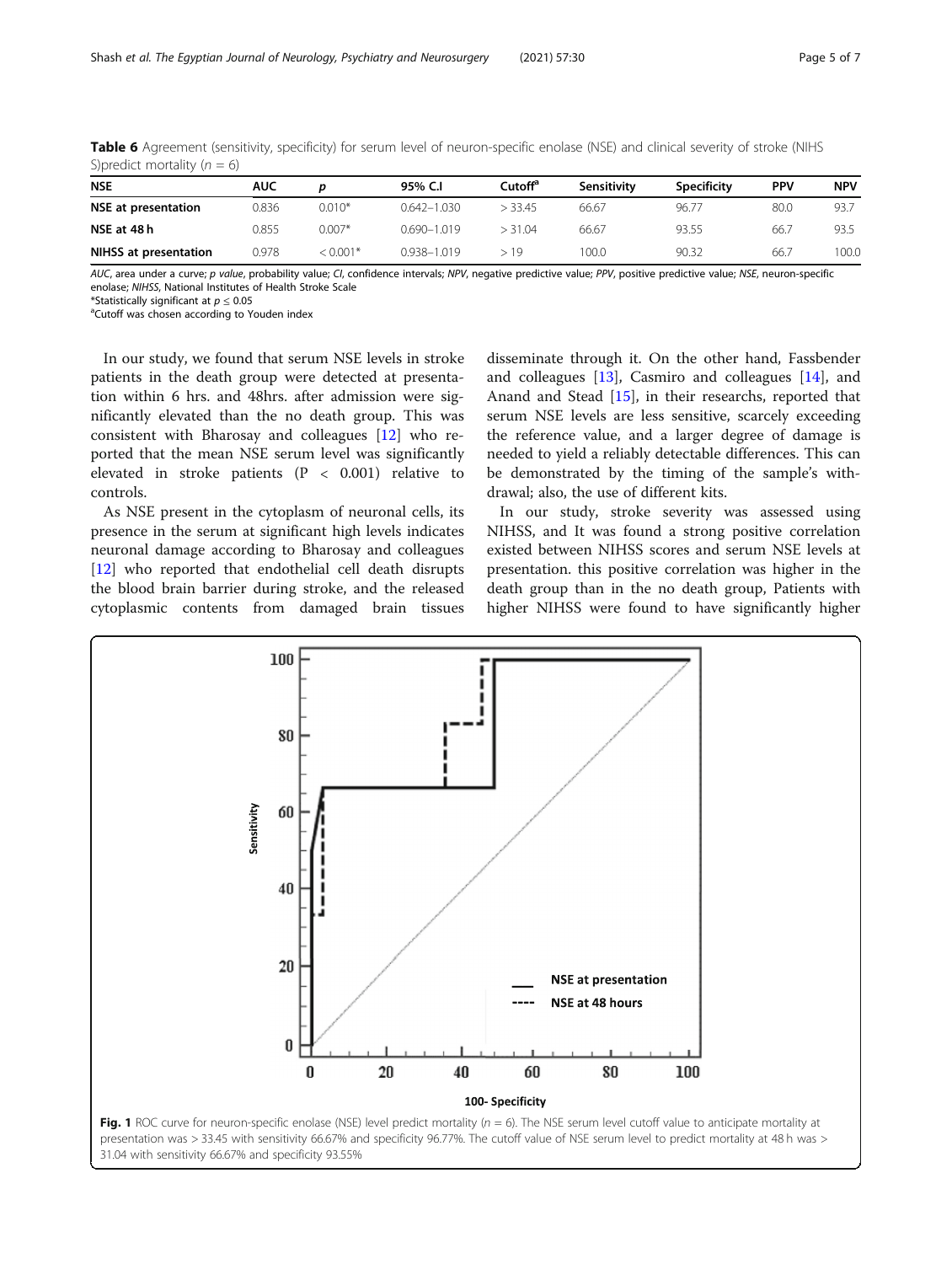| $\sim$ $\sim$ $\sim$<br>___ |            |           |                 |         |             |                    |            |            |  |
|-----------------------------|------------|-----------|-----------------|---------|-------------|--------------------|------------|------------|--|
| <b>NSE</b>                  | <b>AUC</b> |           | 95% C.I         | Cutoffª | Sensitivity | <b>Specificity</b> | <b>PPV</b> | <b>NPV</b> |  |
| <b>NSE at presentation</b>  | 0.836      | $0.010*$  | $0.642 - 1.030$ | > 33.45 | 66.67       | 96.77              | 80.0       | 93.7       |  |
| NSE at 48 h                 | 0.855      | $0.007*$  | $0.690 - 1.019$ | > 31.04 | 66.67       | 93.55              | 66.7       | 93.5       |  |
| NIHSS at presentation       | 0.978      | $10.001*$ | 0.938-1.019     | > 19    | 100.0       | 90.32              | 66.7       | 100.0      |  |

<span id="page-4-0"></span>Table 6 Agreement (sensitivity, specificity) for serum level of neuron-specific enolase (NSE) and clinical severity of stroke (NIHS S)predict mortality  $(n = 6)$ 

AUC, area under a curve; p value, probability value; CI, confidence intervals; NPV, negative predictive value; PPV, positive predictive value; NSE, neuron-specific enolase; NIHSS, National Institutes of Health Stroke Scale

\*Statistically significant at  $p \leq 0.05$ 

<sup>a</sup>Cutoff was chosen according to Youden index

In our study, we found that serum NSE levels in stroke patients in the death group were detected at presentation within 6 hrs. and 48hrs. after admission were significantly elevated than the no death group. This was consistent with Bharosay and colleagues [\[12](#page-6-0)] who reported that the mean NSE serum level was significantly elevated in stroke patients (P < 0.001) relative to controls.

As NSE present in the cytoplasm of neuronal cells, its presence in the serum at significant high levels indicates neuronal damage according to Bharosay and colleagues [[12\]](#page-6-0) who reported that endothelial cell death disrupts the blood brain barrier during stroke, and the released cytoplasmic contents from damaged brain tissues

disseminate through it. On the other hand, Fassbender and colleagues [\[13](#page-6-0)], Casmiro and colleagues [\[14](#page-6-0)], and Anand and Stead [[15\]](#page-6-0), in their researchs, reported that serum NSE levels are less sensitive, scarcely exceeding the reference value, and a larger degree of damage is needed to yield a reliably detectable differences. This can be demonstrated by the timing of the sample's withdrawal; also, the use of different kits.

In our study, stroke severity was assessed using NIHSS, and It was found a strong positive correlation existed between NIHSS scores and serum NSE levels at presentation. this positive correlation was higher in the death group than in the no death group, Patients with higher NIHSS were found to have significantly higher

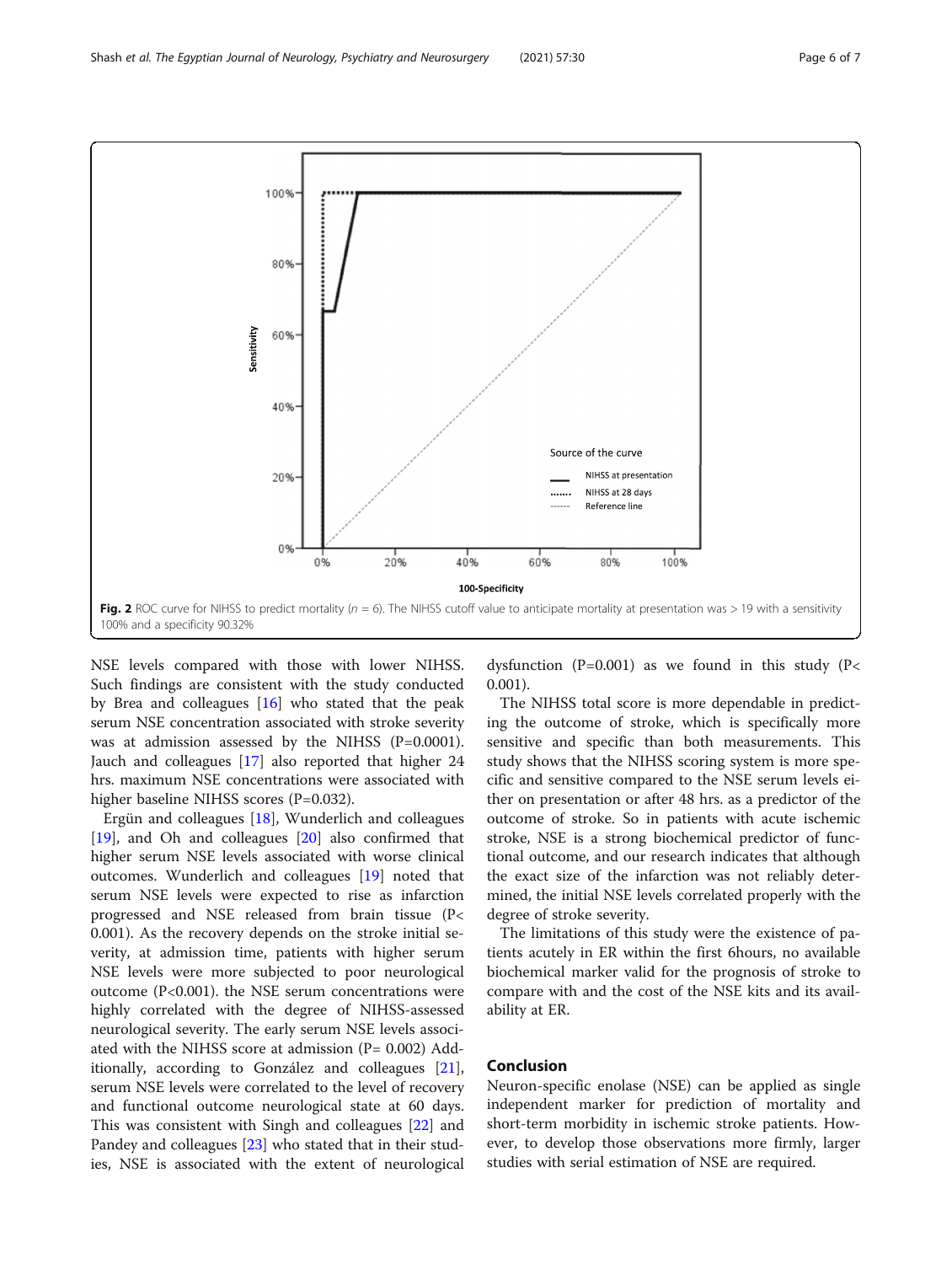NSE levels compared with those with lower NIHSS. Such findings are consistent with the study conducted by Brea and colleagues [[16\]](#page-6-0) who stated that the peak serum NSE concentration associated with stroke severity was at admission assessed by the NIHSS (P=0.0001). Jauch and colleagues [[17](#page-6-0)] also reported that higher 24 hrs. maximum NSE concentrations were associated with higher baseline NIHSS scores (P=0.032).

Ergün and colleagues [[18](#page-6-0)], Wunderlich and colleagues [[19\]](#page-6-0), and Oh and colleagues [\[20](#page-6-0)] also confirmed that higher serum NSE levels associated with worse clinical outcomes. Wunderlich and colleagues [[19\]](#page-6-0) noted that serum NSE levels were expected to rise as infarction progressed and NSE released from brain tissue (P< 0.001). As the recovery depends on the stroke initial severity, at admission time, patients with higher serum NSE levels were more subjected to poor neurological outcome (P<0.001). the NSE serum concentrations were highly correlated with the degree of NIHSS-assessed neurological severity. The early serum NSE levels associated with the NIHSS score at admission  $(P= 0.002)$  Additionally, according to González and colleagues [\[21](#page-6-0)], serum NSE levels were correlated to the level of recovery and functional outcome neurological state at 60 days. This was consistent with Singh and colleagues [[22](#page-6-0)] and Pandey and colleagues [[23](#page-6-0)] who stated that in their studies, NSE is associated with the extent of neurological

dysfunction ( $P=0.001$ ) as we found in this study ( $P<$ 0.001).

The NIHSS total score is more dependable in predicting the outcome of stroke, which is specifically more sensitive and specific than both measurements. This study shows that the NIHSS scoring system is more specific and sensitive compared to the NSE serum levels either on presentation or after 48 hrs. as a predictor of the outcome of stroke. So in patients with acute ischemic stroke, NSE is a strong biochemical predictor of functional outcome, and our research indicates that although the exact size of the infarction was not reliably determined, the initial NSE levels correlated properly with the degree of stroke severity.

The limitations of this study were the existence of patients acutely in ER within the first 6hours, no available biochemical marker valid for the prognosis of stroke to compare with and the cost of the NSE kits and its availability at ER.

### Conclusion

Neuron-specific enolase (NSE) can be applied as single independent marker for prediction of mortality and short-term morbidity in ischemic stroke patients. However, to develop those observations more firmly, larger studies with serial estimation of NSE are required.

<span id="page-5-0"></span>